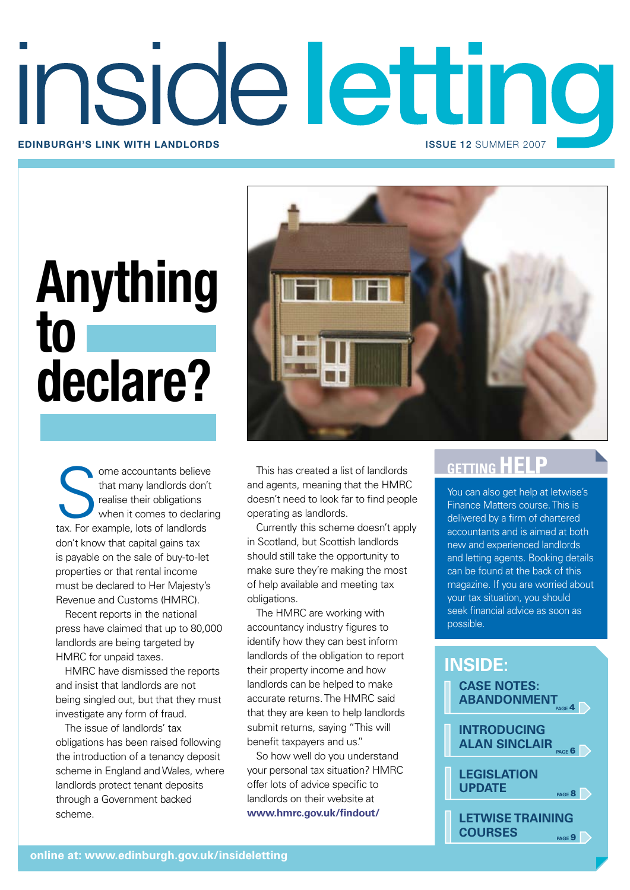# insideletting **Edinburgh's link with landlords** issue 12 SUMMER 2007

# **Anything to declare?**



ome accountants believe This has created a list of landlords<br>that many landlords don't<br>realise their obligations doesn't need to look far to find people<br>when it comes to declaring operating as landlords.<br>tax. For example, ome accountants believe that many landlords don't realise their obligations when it comes to declaring tax. For example, lots of landlords don't know that capital gains tax is payable on the sale of buy-to-let properties or that rental income must be declared to Her Majesty's Revenue and Customs (HMRC).

Recent reports in the national press have claimed that up to 80,000 landlords are being targeted by HMRC for unpaid taxes.

HMRC have dismissed the reports and insist that landlords are not being singled out, but that they must investigate any form of fraud.

The issue of landlords' tax obligations has been raised following the introduction of a tenancy deposit scheme in England and Wales, where landlords protect tenant deposits through a Government backed scheme.

This has created a list of landlords and agents, meaning that the HMRC doesn't need to look far to find people operating as landlords.

Currently this scheme doesn't apply in Scotland, but Scottish landlords should still take the opportunity to make sure they're making the most of help available and meeting tax obligations.

The HMRC are working with accountancy industry figures to identify how they can best inform landlords of the obligation to report their property income and how landlords can be helped to make accurate returns. The HMRC said that they are keen to help landlords submit returns, saying "This will benefit taxpayers and us."

So how well do you understand your personal tax situation? HMRC offer lots of advice specific to landlords on their website at **www.hmrc.gov.uk/findout/**

You can also get help at letwise's Finance Matters course. This is delivered by a firm of chartered accountants and is aimed at both new and experienced landlords and letting agents. Booking details can be found at the back of this magazine. If you are worried about your tax situation, you should seek financial advice as soon as possible.

# **CASE NOTES: inside:**

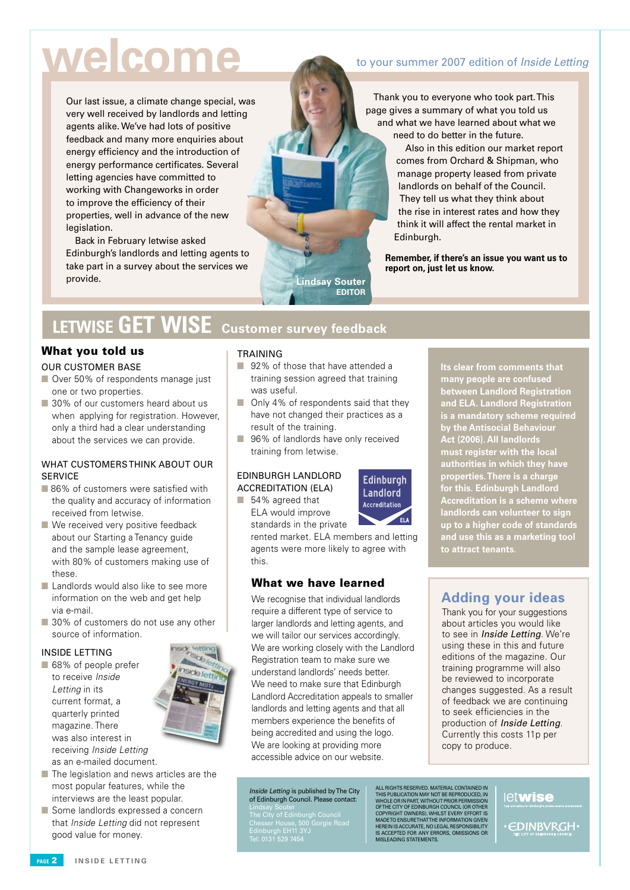# **welcome**

Our last issue, a climate change special, was very well received by landlords and letting agents alike. We've had lots of positive feedback and many more enquiries about energy efficiency and the introduction of energy performance certificates. Several letting agencies have committed to working with Changeworks in order to improve the efficiency of their properties, well in advance of the new legislation.

Back in February letwise asked Edinburgh's landlords and letting agents to take part in a survey about the services we provide.

# to your summer 2007 edition of Inside Letting

Thank you to everyone who took part. This page gives a summary of what you told us and what we have learned about what we need to do better in the future.

> Also in this edition our market report comes from Orchard & Shipman, who manage property leased from private landlords on behalf of the Council. They tell us what they think about the rise in interest rates and how they think it will affect the rental market in Edinburgh.

**Remember, if there's an issue you want us to report on, just let us know.**

# **LETWISE GET WISE Customer survey feedback**

# What you told us

### OUR CUSTOMER BASE

- Over 50% of respondents manage just one or two properties.
- 30% of our customers heard about us when applying for registration. However, only a third had a clear understanding about the services we can provide.

# WHAT CUSTOMERS THINK ABOUT OUR **SERVICE**

- 86% of customers were satisfied with the quality and accuracy of information received from letwise.
- $\blacksquare$  We received very positive feedback about our Starting a Tenancy guide and the sample lease agreement, with 80% of customers making use of these.
- **n** Landlords would also like to see more information on the web and get help via e-mail.
- 30% of customers do not use any other source of information.

### INSIDE LETTING

- 68% of people prefer to receive *Inside Letting* in its current format, a quarterly printed magazine. There was also interest in receiving *Inside Letting* as an e-mailed document.
- $\blacksquare$  The legislation and news articles are the most popular features, while the interviews are the least popular.
- Some landlords expressed a concern that *Inside Letting* did not represent good value for money.

### TRAINING

■ 92% of those that have attended a training session agreed that training was useful.

**Lindsay Souter Editor**

- **n** Only 4% of respondents said that they have not changed their practices as a result of the training.
- 96% of landlords have only received training from letwise.

### EDINBURGH LANDLORD ACCREDITATION (ELA)

■ 54% agreed that ELA would improve standards in the private

> rented market. ELA members and letting agents were more likely to agree with this.

**Edinburgh** Landlord Accreditation

# What we have learned

We recognise that individual landlords require a different type of service to larger landlords and letting agents, and we will tailor our services accordingly. We are working closely with the Landlord Registration team to make sure we understand landlords' needs better. We need to make sure that Edinburgh Landlord Accreditation appeals to smaller landlords and letting agents and that all members experience the benefits of being accredited and using the logo. We are looking at providing more accessible advice on our website.

Inside Letting is published by The City of Edinburgh Council. Please contact:

Lindsay Souter The City of Edinburgh Council Chesser House, 500 Gorgie Road Edinburgh EH11 3YJ Tel: 0131 529 7454

**Its clear from comments that many people are confused between Landlord Registration and ELA. Landlord Registration is a mandatory scheme required by the Antisocial Behaviour Act (2006). All landlords must register with the local authorities in which they have properties. There is a charge for this. Edinburgh Landlord Accreditation is a scheme where landlords can volunteer to sign up to a higher code of standards and use this as a marketing tool to attract tenants**.

# **Adding your ideas**

Thank you for your suggestions about articles you would like to see in *Inside Letting*. We're using these in this and future editions of the magazine. Our training programme will also be reviewed to incorporate changes suggested. As a result of feedback we are continuing to seek efficiencies in the production of Inside Letting. Currently this costs 11p per copy to produce.

ALL RIGHTS RESERVED. MATERIAL CONTAINED IN<br>THIS PUBLICATION MAY NOT BE REPRODUCED, IN<br>WHOLE OR IN PART, WITHOUT PRIOR PERMISSION<br>OF THE CITY OF EDINBURGH COUNCIL (OR OTHER<br>COPYRIGHT OWNERS). WHILST EVERY EFFORT IS<br>MADETO E herein is accurate, no legal responsibility is accepted for any errors, omissions or misleading statements.

# let**wise**

**EDINBVRGH** 

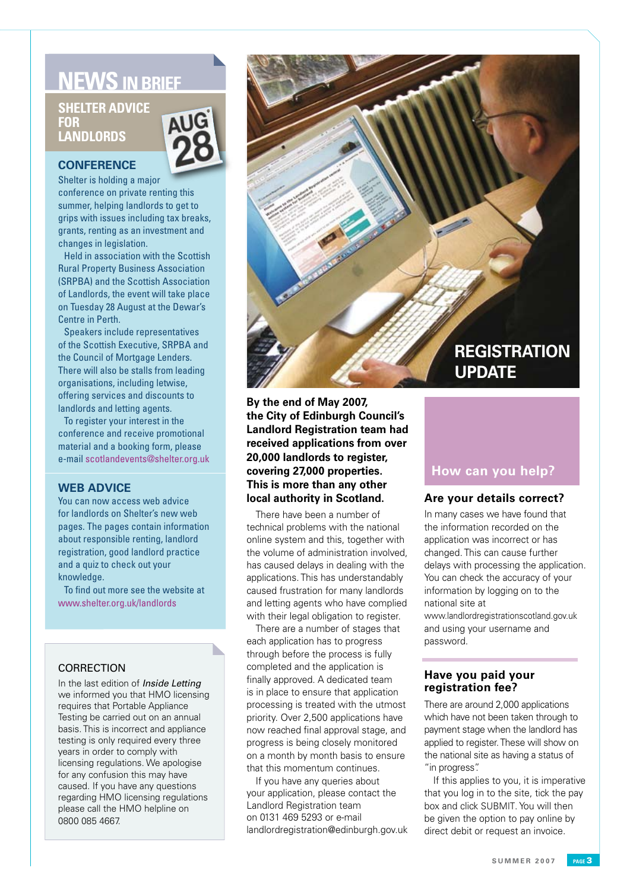# **NEWS IN BRIEF**

# **Shelter advice for landlords**



# **CONFERENCE**

Shelter is holding a major conference on private renting this summer, helping landlords to get to grips with issues including tax breaks, grants, renting as an investment and changes in legislation.

Held in association with the Scottish Rural Property Business Association (SRPBA) and the Scottish Association of Landlords, the event will take place on Tuesday 28 August at the Dewar's Centre in Perth.

Speakers include representatives of the Scottish Executive, SRPBA and the Council of Mortgage Lenders. There will also be stalls from leading organisations, including letwise, offering services and discounts to landlords and letting agents.

To register your interest in the conference and receive promotional material and a booking form, please e-mail scotlandevents@shelter.org.uk

# **WEB ADVICE**

You can now access web advice for landlords on Shelter's new web pages. The pages contain information about responsible renting, landlord registration, good landlord practice and a quiz to check out your knowledge.

To find out more see the website at www.shelter.org.uk/landlords

# **CORRECTION**

In the last edition of *Inside Letting* we informed you that HMO licensing requires that Portable Appliance Testing be carried out on an annual basis. This is incorrect and appliance testing is only required every three years in order to comply with licensing regulations. We apologise for any confusion this may have caused. If you have any questions regarding HMO licensing regulations please call the HMO helpline on 0800 085 4667.



**By the end of May 2007, the City of Edinburgh Council's Landlord Registration team had received applications from over 20,000 landlords to register, covering 27,000 properties. This is more than any other local authority in Scotland.**

There have been a number of technical problems with the national online system and this, together with the volume of administration involved, has caused delays in dealing with the applications. This has understandably caused frustration for many landlords and letting agents who have complied with their legal obligation to register.

There are a number of stages that each application has to progress through before the process is fully completed and the application is finally approved. A dedicated team is in place to ensure that application processing is treated with the utmost priority. Over 2,500 applications have now reached final approval stage, and progress is being closely monitored on a month by month basis to ensure that this momentum continues.

If you have any queries about your application, please contact the Landlord Registration team on 0131 469 5293 or e-mail landlordregistration@edinburgh.gov.uk

# **How can you help?**

# **Are your details correct?**

In many cases we have found that the information recorded on the application was incorrect or has changed. This can cause further delays with processing the application. You can check the accuracy of your information by logging on to the national site at

www.landlordregistrationscotland.gov.uk and using your username and password.

# **Have you paid your registration fee?**

There are around 2,000 applications which have not been taken through to payment stage when the landlord has applied to register. These will show on the national site as having a status of "in progress".

If this applies to you, it is imperative that you log in to the site, tick the pay box and click SUBMIT. You will then be given the option to pay online by direct debit or request an invoice.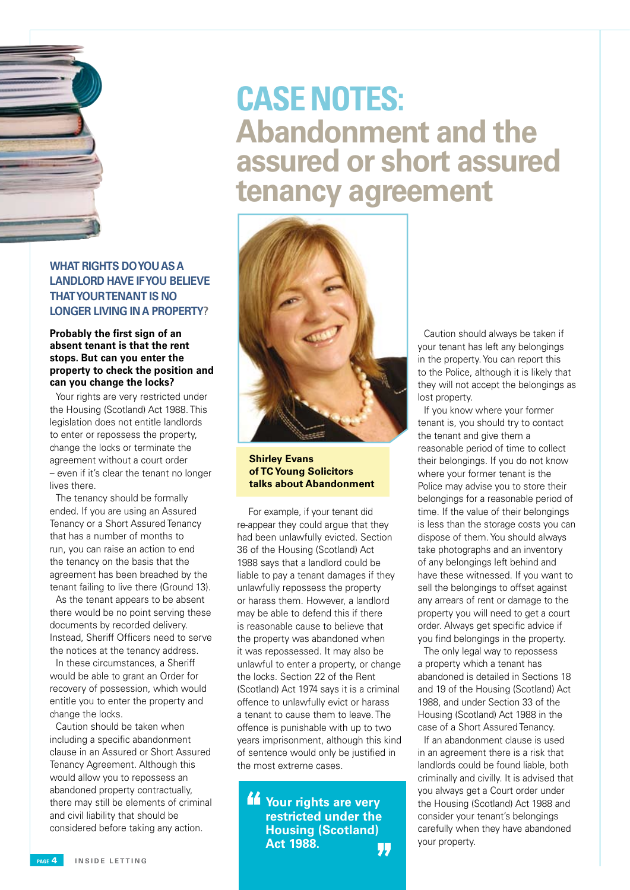

# **What rights do youasa landlord have if you believe that yourtenant is no longer living ina property?**

# **Probably the first sign of an absent tenant is that the rent stops. But can you enter the property to check the position and can you change the locks?**

Your rights are very restricted under the Housing (Scotland) Act 1988. This legislation does not entitle landlords to enter or repossess the property, change the locks or terminate the agreement without a court order – even if it's clear the tenant no longer lives there.

The tenancy should be formally ended. If you are using an Assured Tenancy or a Short Assured Tenancy that has a number of months to run, you can raise an action to end the tenancy on the basis that the agreement has been breached by the tenant failing to live there (Ground 13).

As the tenant appears to be absent there would be no point serving these documents by recorded delivery. Instead, Sheriff Officers need to serve the notices at the tenancy address.

In these circumstances, a Sheriff would be able to grant an Order for recovery of possession, which would entitle you to enter the property and change the locks.

Caution should be taken when including a specific abandonment clause in an Assured or Short Assured Tenancy Agreement. Although this would allow you to repossess an abandoned property contractually, there may still be elements of criminal and civil liability that should be considered before taking any action.

# **Abandonment and the assured or short assured tenancy agreement Case Notes:**



**Shirley Evans of TC Young Solicitors talks about Abandonment**

 For example, if your tenant did re-appear they could argue that they had been unlawfully evicted. Section 36 of the Housing (Scotland) Act 1988 says that a landlord could be liable to pay a tenant damages if they unlawfully repossess the property or harass them. However, a landlord may be able to defend this if there is reasonable cause to believe that the property was abandoned when it was repossessed. It may also be unlawful to enter a property, or change the locks. Section 22 of the Rent (Scotland) Act 1974 says it is a criminal offence to unlawfully evict or harass a tenant to cause them to leave. The offence is punishable with up to two years imprisonment, although this kind of sentence would only be justified in the most extreme cases.

**Your rights are very restricted under the Housing (Scotland) Act 1988.** 11

Caution should always be taken if your tenant has left any belongings in the property. You can report this to the Police, although it is likely that they will not accept the belongings as lost property.

If you know where your former tenant is, you should try to contact the tenant and give them a reasonable period of time to collect their belongings. If you do not know where your former tenant is the Police may advise you to store their belongings for a reasonable period of time. If the value of their belongings is less than the storage costs you can dispose of them. You should always take photographs and an inventory of any belongings left behind and have these witnessed. If you want to sell the belongings to offset against any arrears of rent or damage to the property you will need to get a court order. Always get specific advice if you find belongings in the property.

The only legal way to repossess a property which a tenant has abandoned is detailed in Sections 18 and 19 of the Housing (Scotland) Act 1988, and under Section 33 of the Housing (Scotland) Act 1988 in the case of a Short Assured Tenancy.

If an abandonment clause is used in an agreement there is a risk that landlords could be found liable, both criminally and civilly. It is advised that you always get a Court order under the Housing (Scotland) Act 1988 and consider your tenant's belongings carefully when they have abandoned your property.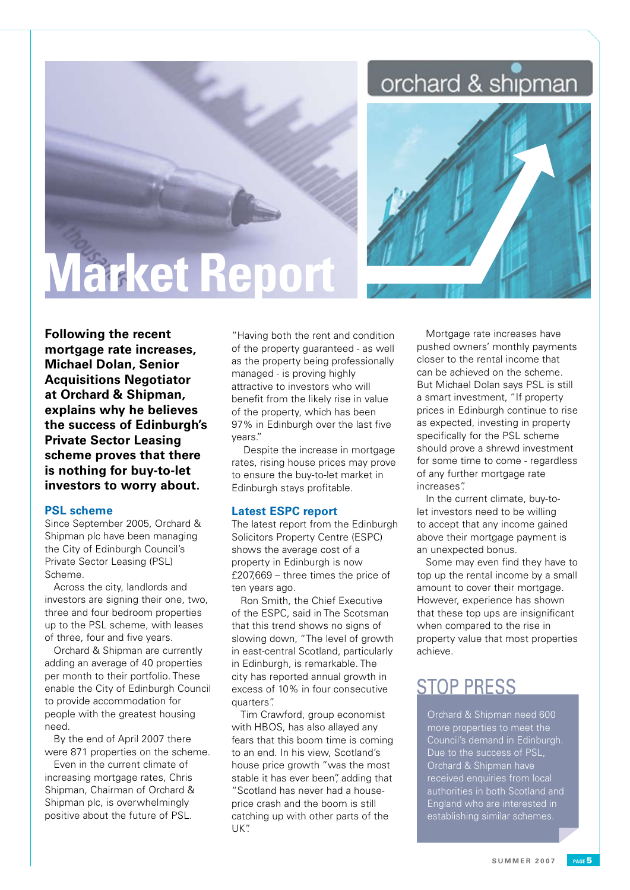# orchard & shipman



# **Market Report**

**Following the recent mortgage rate increases, Michael Dolan, Senior Acquisitions Negotiator at Orchard & Shipman, explains why he believes the success of Edinburgh's Private Sector Leasing scheme proves that there is nothing for buy-to-let investors to worry about.**

# **PSL scheme**

Since September 2005, Orchard & Shipman plc have been managing the City of Edinburgh Council's Private Sector Leasing (PSL) Scheme.

Across the city, landlords and investors are signing their one, two, three and four bedroom properties up to the PSL scheme, with leases of three, four and five years.

Orchard & Shipman are currently adding an average of 40 properties per month to their portfolio. These enable the City of Edinburgh Council to provide accommodation for people with the greatest housing need.

By the end of April 2007 there were 871 properties on the scheme.

Even in the current climate of increasing mortgage rates, Chris Shipman, Chairman of Orchard & Shipman plc, is overwhelmingly positive about the future of PSL.

"Having both the rent and condition of the property guaranteed - as well as the property being professionally managed - is proving highly attractive to investors who will benefit from the likely rise in value of the property, which has been 97% in Edinburgh over the last five years."

 Despite the increase in mortgage rates, rising house prices may prove to ensure the buy-to-let market in Edinburgh stays profitable.

### **Latest ESPC report**

The latest report from the Edinburgh Solicitors Property Centre (ESPC) shows the average cost of a property in Edinburgh is now £207,669 – three times the price of ten years ago.

Ron Smith, the Chief Executive of the ESPC, said in The Scotsman that this trend shows no signs of slowing down, "The level of growth in east-central Scotland, particularly in Edinburgh, is remarkable. The city has reported annual growth in excess of 10% in four consecutive quarters".

Tim Crawford, group economist with HBOS, has also allayed any fears that this boom time is coming to an end. In his view, Scotland's house price growth "was the most stable it has ever been" adding that "Scotland has never had a houseprice crash and the boom is still catching up with other parts of the UK".

Mortgage rate increases have pushed owners' monthly payments closer to the rental income that can be achieved on the scheme. But Michael Dolan says PSL is still a smart investment, "If property prices in Edinburgh continue to rise as expected, investing in property specifically for the PSL scheme should prove a shrewd investment for some time to come - regardless of any further mortgage rate increases".

In the current climate, buy-tolet investors need to be willing to accept that any income gained above their mortgage payment is an unexpected bonus.

Some may even find they have to top up the rental income by a small amount to cover their mortgage. However, experience has shown that these top ups are insignificant when compared to the rise in property value that most properties achieve.

# **STOP PRESS**

Orchard & Shipman need 600 more properties to meet the Council's demand in Edinburgh. Due to the success of PSL, Orchard & Shipman have received enquiries from local authorities in both Scotland and England who are interested in establishing similar schemes.

**S U M M E R 2 0 0 7 page**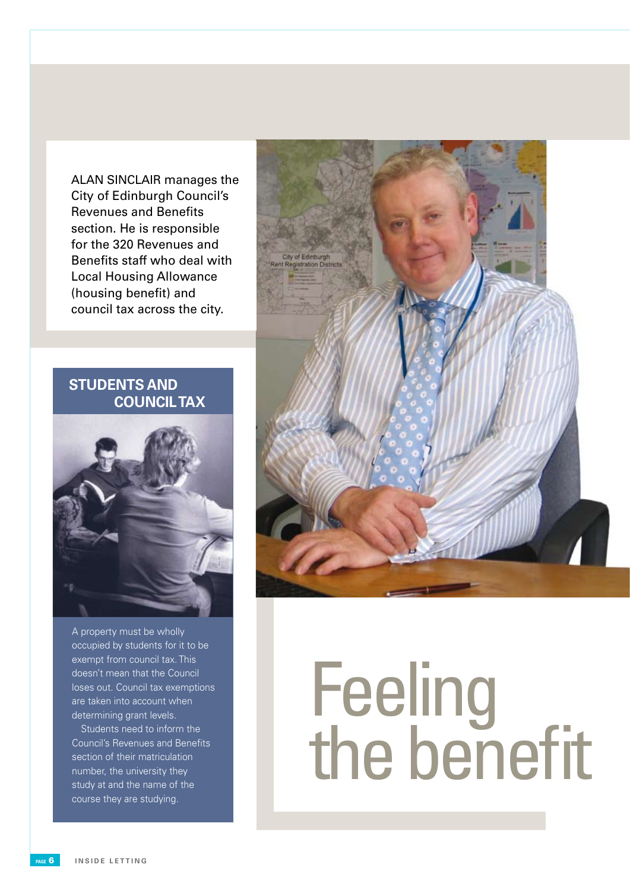ALAN SINCLAIR manages the City of Edinburgh Council's Revenues and Benefits section. He is responsible for the 320 Revenues and Benefits staff who deal with Local Housing Allowance (housing benefit) and council tax across the city.

# **Students and COUNCILTAX**



A property must be wholly occupied by students for it to be exempt from council tax. This doesn't mean that the Council loses out. Council tax exemptions are taken into account when determining grant levels.

Students need to inform the Council's Revenues and Benefits section of their matriculation number, the university they study at and the name of the course they are studying.



# **Feeling** the benefit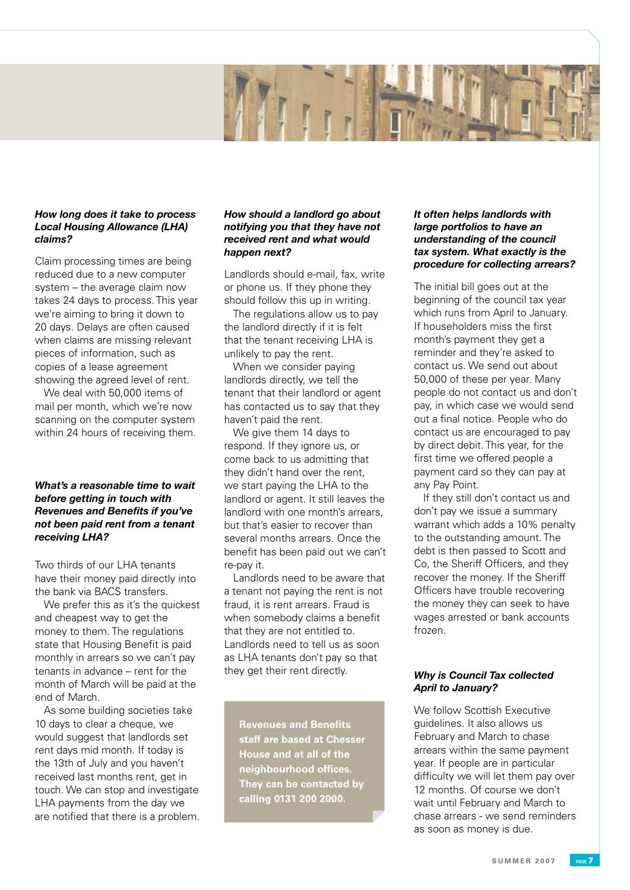

# *How long does it take to process Local Housing Allowance (LHA) claims?*

Claim processing times are being reduced due to a new computer system – the average claim now takes 24 days to process. This year we're aiming to bring it down to 20 days. Delays are often caused when claims are missing relevant pieces of information, such as copies of a lease agreement showing the agreed level of rent.

We deal with 50,000 items of mail per month, which we're now scanning on the computer system within 24 hours of receiving them.

# *What's a reasonable time to wait before getting in touch with Revenues and Benefits if you've not been paid rent from a tenant receiving LHA?*

Two thirds of our LHA tenants have their money paid directly into the bank via BACS transfers.

We prefer this as it's the quickest and cheapest way to get the money to them. The regulations state that Housing Benefit is paid monthly in arrears so we can't pay tenants in advance – rent for the month of March will be paid at the end of March.

As some building societies take 10 days to clear a cheque, we would suggest that landlords set rent days mid month. If today is the 13th of July and you haven't received last months rent, get in touch. We can stop and investigate LHA payments from the day we are notified that there is a problem.

# *How should a landlord go about notifying you that they have not received rent and what would happen next?*

Landlords should e-mail, fax, write or phone us. If they phone they should follow this up in writing.

The regulations allow us to pay the landlord directly if it is felt that the tenant receiving LHA is unlikely to pay the rent.

When we consider paying landlords directly, we tell the tenant that their landlord or agent has contacted us to say that they haven't paid the rent.

We give them 14 days to respond. If they ignore us, or come back to us admitting that they didn't hand over the rent, we start paying the LHA to the landlord or agent. It still leaves the landlord with one month's arrears, but that's easier to recover than several months arrears. Once the benefit has been paid out we can't re-pay it.

Landlords need to be aware that a tenant not paying the rent is not fraud, it is rent arrears. Fraud is when somebody claims a benefit that they are not entitled to. Landlords need to tell us as soon as LHA tenants don't pay so that they get their rent directly.

**Revenues and Benefits staff are based at Chesser House and at all of the neighbourhood offices. They can be contacted by calling 0131 200 2000.**

# *It often helps landlords with large portfolios to have an understanding of the council tax system. What exactly is the procedure for collecting arrears?*

The initial bill goes out at the beginning of the council tax year which runs from April to January. If householders miss the first month's payment they get a reminder and they're asked to contact us. We send out about 50,000 of these per year. Many people do not contact us and don't pay, in which case we would send out a final notice. People who do contact us are encouraged to pay by direct debit. This year, for the first time we offered people a payment card so they can pay at any Pay Point.

If they still don't contact us and don't pay we issue a summary warrant which adds a 10% penalty to the outstanding amount. The debt is then passed to Scott and Co, the Sheriff Officers, and they recover the money. If the Sheriff Officers have trouble recovering the money they can seek to have wages arrested or bank accounts frozen.

# *Why is Council Tax collected April to January?*

We follow Scottish Executive guidelines. It also allows us February and March to chase arrears within the same payment year. If people are in particular difficulty we will let them pay over 12 months. Of course we don't wait until February and March to chase arrears - we send reminders as soon as money is due.

**S U M M E R 2 0 0 7 ppagege**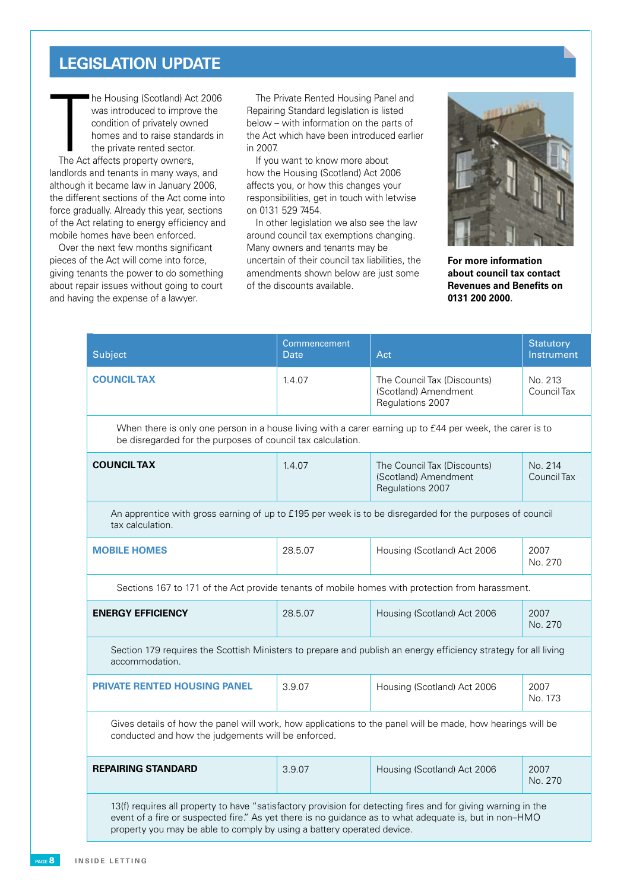# **Legislation update**

The private reprivate reprivate reprivate reprivate reprivational tensors in the section of the Act relating to explicit the Act relating to explicit the Act relating to explicit the next few modern that few modern the nex The Housing (Scotland) Actor was introduced to improve condition of privately own<br>condition of privately own<br>homes and to raise stand<br>the private rented sector.<br>The Act affects property owners, he Housing (Scotland) Act 2006 was introduced to improve the condition of privately owned homes and to raise standards in the private rented sector. landlords and tenants in many ways, and although it became law in January 2006, the different sections of the Act come into force gradually. Already this year, sections of the Act relating to energy efficiency and mobile homes have been enforced.

orce gradually. Already this year, so<br>orce gradually. Already this year, s<br>mobile homes have been enforced<br>Over the next few months signif<br>ieces of the Act will come into for<br>giving tenants the power to do sor<br>bout repair Over the next few months significant pieces of the Act will come into force, giving tenants the power to do something about repair issues without going to court and having the expense of a lawyer.

The Private Rented Housing Panel and Repairing Standard legislation is listed below – with information on the parts of the Act which have been introduced earlier in 2007.

If you want to know more about how the Housing (Scotland) Act 2006 affects you, or how this changes your responsibilities, get in touch with letwise on 0131 529 7454.

In other legislation we also see the law around council tax exemptions changing. Many owners and tenants may be uncertain of their council tax liabilities, the amendments shown below are just some of the discounts available.



**For more information about council tax contact Revenues and Benefits on 0131 200 2000.**

| Subject                                                                                                                                                                                                                                                                                           | Commencement<br>Date | Act                                                                     | <b>Statutory</b><br>Instrument |
|---------------------------------------------------------------------------------------------------------------------------------------------------------------------------------------------------------------------------------------------------------------------------------------------------|----------------------|-------------------------------------------------------------------------|--------------------------------|
| <b>COUNCIL TAX</b>                                                                                                                                                                                                                                                                                | 1.4.07               | The Council Tax (Discounts)<br>(Scotland) Amendment<br>Regulations 2007 | No. 213<br>Council Tax         |
| When there is only one person in a house living with a carer earning up to £44 per week, the carer is to<br>be disregarded for the purposes of council tax calculation.                                                                                                                           |                      |                                                                         |                                |
| <b>COUNCIL TAX</b>                                                                                                                                                                                                                                                                                | 1.4.07               | The Council Tax (Discounts)<br>(Scotland) Amendment<br>Regulations 2007 | No. 214<br>Council Tax         |
| An apprentice with gross earning of up to £195 per week is to be disregarded for the purposes of council<br>tax calculation.                                                                                                                                                                      |                      |                                                                         |                                |
| <b>MOBILE HOMES</b>                                                                                                                                                                                                                                                                               | 28.5.07              | Housing (Scotland) Act 2006                                             | 2007<br>No. 270                |
| Sections 167 to 171 of the Act provide tenants of mobile homes with protection from harassment.                                                                                                                                                                                                   |                      |                                                                         |                                |
| <b>ENERGY EFFICIENCY</b>                                                                                                                                                                                                                                                                          | 28.5.07              | Housing (Scotland) Act 2006                                             | 2007<br>No. 270                |
| Section 179 requires the Scottish Ministers to prepare and publish an energy efficiency strategy for all living<br>accommodation.                                                                                                                                                                 |                      |                                                                         |                                |
| <b>PRIVATE RENTED HOUSING PANEL</b>                                                                                                                                                                                                                                                               | 3.9.07               | Housing (Scotland) Act 2006                                             | 2007<br>No. 173                |
| Gives details of how the panel will work, how applications to the panel will be made, how hearings will be<br>conducted and how the judgements will be enforced.                                                                                                                                  |                      |                                                                         |                                |
| <b>REPAIRING STANDARD</b>                                                                                                                                                                                                                                                                         | 3.9.07               | Housing (Scotland) Act 2006                                             | 2007<br>No. 270                |
| 13(f) requires all property to have "satisfactory provision for detecting fires and for giving warning in the<br>event of a fire or suspected fire." As yet there is no guidance as to what adequate is, but in non-HMO<br>property you may be able to comply by using a battery operated device. |                      |                                                                         |                                |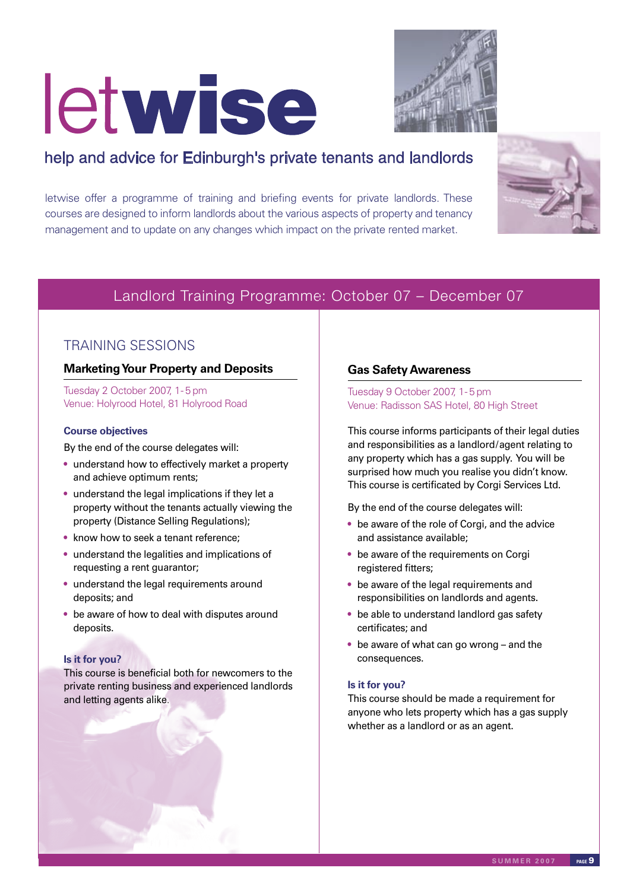# letwise



# help and advice for Edinburgh's private tenants and landlords

letwise offer a programme of training and briefing events for private landlords. These courses are designed to inform landlords about the various aspects of property and tenancy management and to update on any changes which impact on the private rented market.



# Landlord Training Programme: October 07 – December 07

# TRAINING SESSIONS

# **Marketing Your Property and Deposits**

Tuesday 2 October 2007, 1- 5 pm Venue: Holyrood Hotel, 81 Holyrood Road

# **Course objectives**

By the end of the course delegates will:

- understand how to effectively market a property and achieve optimum rents;
- understand the legal implications if they let a property without the tenants actually viewing the property (Distance Selling Regulations);
- know how to seek a tenant reference;
- understand the legalities and implications of requesting a rent guarantor;
- understand the legal requirements around deposits; and
- be aware of how to deal with disputes around deposits.

# **Is it for you?**

This course is beneficial both for newcomers to the private renting business and experienced landlords and letting agents alike.

# **Gas Safety Awareness**

Tuesday 9 October 2007, 1- 5 pm Venue: Radisson SAS Hotel, 80 High Street

This course informs participants of their legal duties and responsibilities as a landlord/agent relating to any property which has a gas supply. You will be surprised how much you realise you didn't know. This course is certificated by Corgi Services Ltd.

By the end of the course delegates will:

- be aware of the role of Corgi, and the advice and assistance available;
- be aware of the requirements on Corgi registered fitters;
- be aware of the legal requirements and responsibilities on landlords and agents.
- be able to understand landlord gas safety certificates; and
- be aware of what can go wrong and the consequences.

# **Is it for you?**

This course should be made a requirement for anyone who lets property which has a gas supply whether as a landlord or as an agent.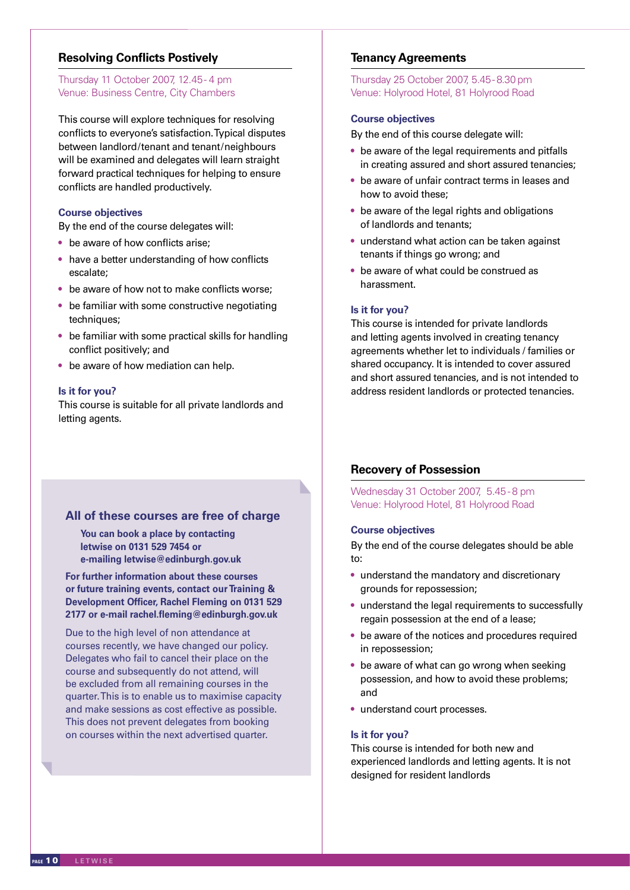# **Resolving Conflicts Postively**

# Thursday 11 October 2007, 12.45 - 4 pm Venue: Business Centre, City Chambers

This course will explore techniques for resolving conflicts to everyone's satisfaction. Typical disputes between landlord/tenant and tenant/neighbours will be examined and delegates will learn straight forward practical techniques for helping to ensure conflicts are handled productively.

# **Course objectives**

By the end of the course delegates will:

- be aware of how conflicts arise;
- have a better understanding of how conflicts escalate;
- be aware of how not to make conflicts worse:
- be familiar with some constructive negotiating techniques;
- be familiar with some practical skills for handling conflict positively; and
- be aware of how mediation can help.

## **Is it for you?**

This course is suitable for all private landlords and letting agents.

# **All of these courses are free of charge**

**You can book a place by contacting letwise on 0131 529 7454 or e-mailing letwise@edinburgh.gov.uk**

**For further information about these courses or future training events, contact our Training & Development Officer, Rachel Fleming on 0131 529 2177 or e-mail rachel.fleming@edinburgh.gov.uk**

Due to the high level of non attendance at courses recently, we have changed our policy. Delegates who fail to cancel their place on the course and subsequently do not attend, will be excluded from all remaining courses in the quarter. This is to enable us to maximise capacity and make sessions as cost effective as possible. This does not prevent delegates from booking on courses within the next advertised quarter.

# **Tenancy Agreements**

# Thursday 25 October 2007, 5.45- 8.30 pm Venue: Holyrood Hotel, 81 Holyrood Road

## **Course objectives**

By the end of this course delegate will:

- be aware of the legal requirements and pitfalls in creating assured and short assured tenancies;
- be aware of unfair contract terms in leases and how to avoid these;
- be aware of the legal rights and obligations of landlords and tenants;
- understand what action can be taken against tenants if things go wrong; and
- be aware of what could be construed as harassment.

## **Is it for you?**

This course is intended for private landlords and letting agents involved in creating tenancy agreements whether let to individuals / families or shared occupancy. It is intended to cover assured and short assured tenancies, and is not intended to address resident landlords or protected tenancies.

# **Recovery of Possession**

Wednesday 31 October 2007, 5.45 - 8 pm Venue: Holyrood Hotel, 81 Holyrood Road

# **Course objectives**

By the end of the course delegates should be able to:

- understand the mandatory and discretionary grounds for repossession;
- understand the legal requirements to successfully regain possession at the end of a lease;
- be aware of the notices and procedures required in repossession;
- be aware of what can go wrong when seeking possession, and how to avoid these problems; and
- understand court processes.

# **Is it for you?**

This course is intended for both new and experienced landlords and letting agents. It is not designed for resident landlords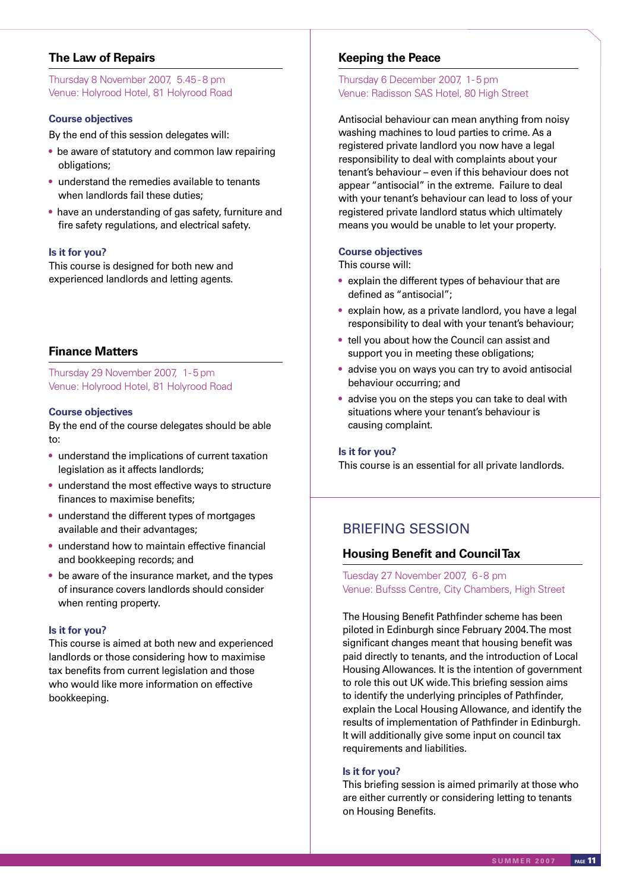# **The Law of Repairs**

Thursday 8 November 2007, 5.45 - 8 pm Venue: Holyrood Hotel, 81 Holyrood Road

# **Course objectives**

By the end of this session delegates will:

- be aware of statutory and common law repairing obligations;
- understand the remedies available to tenants when landlords fail these duties:
- have an understanding of gas safety, furniture and fire safety regulations, and electrical safety.

# **Is it for you?**

This course is designed for both new and experienced landlords and letting agents.

# **Finance Matters**

# Thursday 29 November 2007, 1- 5 pm Venue: Holyrood Hotel, 81 Holyrood Road

# **Course objectives**

By the end of the course delegates should be able to:

- understand the implications of current taxation legislation as it affects landlords;
- understand the most effective ways to structure finances to maximise benefits;
- understand the different types of mortgages available and their advantages;
- understand how to maintain effective financial and bookkeeping records; and
- be aware of the insurance market, and the types of insurance covers landlords should consider when renting property.

# **Is it for you?**

This course is aimed at both new and experienced landlords or those considering how to maximise tax benefits from current legislation and those who would like more information on effective bookkeeping.

# **Keeping the Peace**

# Thursday 6 December 2007, 1- 5 pm Venue: Radisson SAS Hotel, 80 High Street

Antisocial behaviour can mean anything from noisy washing machines to loud parties to crime. As a registered private landlord you now have a legal responsibility to deal with complaints about your tenant's behaviour – even if this behaviour does not appear "antisocial" in the extreme. Failure to deal with your tenant's behaviour can lead to loss of your registered private landlord status which ultimately means you would be unable to let your property.

## **Course objectives**

This course will:

- explain the different types of behaviour that are defined as "antisocial";
- explain how, as a private landlord, you have a legal responsibility to deal with your tenant's behaviour;
- tell you about how the Council can assist and support you in meeting these obligations;
- advise you on ways you can try to avoid antisocial behaviour occurring; and
- advise you on the steps you can take to deal with situations where your tenant's behaviour is causing complaint.

### **Is it for you?**

This course is an essential for all private landlords.

# BRIEFING SESSION

# **Housing Benefit and Council Tax**

Tuesday 27 November 2007, 6 -8 pm Venue: Bufsss Centre, City Chambers, High Street

The Housing Benefit Pathfinder scheme has been piloted in Edinburgh since February 2004. The most significant changes meant that housing benefit was paid directly to tenants, and the introduction of Local Housing Allowances. It is the intention of government to role this out UK wide. This briefing session aims to identify the underlying principles of Pathfinder, explain the Local Housing Allowance, and identify the results of implementation of Pathfinder in Edinburgh. It will additionally give some input on council tax requirements and liabilities.

# **Is it for you?**

This briefing session is aimed primarily at those who are either currently or considering letting to tenants on Housing Benefits.